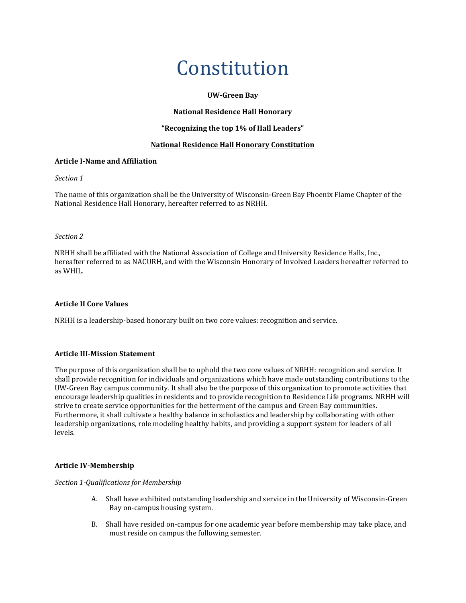# Constitution

## **UW-Green Bay**

## **National Residence Hall Honorary**

# **"Recognizing the top 1% of Hall Leaders"**

## **National Residence Hall Honorary Constitution**

## **Article I-Name and Affiliation**

#### *Section 1*

The name of this organization shall be the University of Wisconsin-Green Bay Phoenix Flame Chapter of the National Residence Hall Honorary, hereafter referred to as NRHH.

#### *Section 2*

NRHH shall be affiliated with the National Association of College and University Residence Halls, Inc., hereafter referred to as NACURH, and with the Wisconsin Honorary of Involved Leaders hereafter referred to as WHIL.

# **Article II Core Values**

NRHH is a leadership-based honorary built on two core values: recognition and service.

# **Article III-Mission Statement**

The purpose of this organization shall be to uphold the two core values of NRHH: recognition and service. It shall provide recognition for individuals and organizations which have made outstanding contributions to the UW-Green Bay campus community. It shall also be the purpose of this organization to promote activities that encourage leadership qualities in residents and to provide recognition to Residence Life programs. NRHH will strive to create service opportunities for the betterment of the campus and Green Bay communities. Furthermore, it shall cultivate a healthy balance in scholastics and leadership by collaborating with other leadership organizations, role modeling healthy habits, and providing a support system for leaders of all levels.

#### **Article IV-Membership**

*Section 1-Qualifications for Membership*

- A. Shall have exhibited outstanding leadership and service in the University of Wisconsin-Green Bay on-campus housing system.
- B. Shall have resided on-campus for one academic year before membership may take place, and must reside on campus the following semester.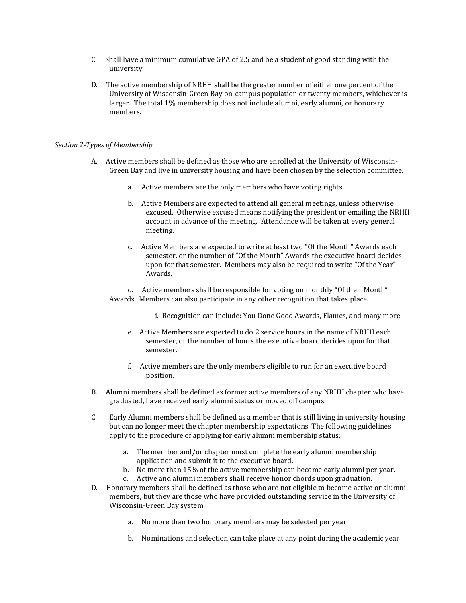- C. Shall have a minimum cumulative GPA of 2.5 and be a student of good standing with the university.
- D. The active membership of NRHH shall be the greater number of either one percent of the University of Wisconsin-Green Bay on-campus population or twenty members, whichever is larger. The total 1% membership does not include alumni, early alumni, or honorary members.

#### *Section 2-Types of Membership*

- A. Active members shall be defined as those who are enrolled at the University of Wisconsin-Green Bay and live in university housing and have been chosen by the selection committee.
	- a. Active members are the only members who have voting rights.
	- b. Active Members are expected to attend all general meetings, unless otherwise excused. Otherwise excused means notifying the president or emailing the NRHH account in advance of the meeting. Attendance will be taken at every general meeting.
	- c. Active Members are expected to write at least two "Of the Month" Awards each semester, or the number of "Of the Month" Awards the executive board decides upon for that semester. Members may also be required to write "Of the Year" Awards.

d. Active members shall be responsible for voting on monthly "Of the Month" Awards. Members can also participate in any other recognition that takes place.

i. Recognition can include: You Done Good Awards, Flames, and many more.

- e. Active Members are expected to do 2 service hours in the name of NRHH each semester, or the number of hours the executive board decides upon for that semester.
- f. Active members are the only members eligible to run for an executive board position.
- B. Alumni members shall be defined as former active members of any NRHH chapter who have graduated, have received early alumni status or moved off campus.
- C. Early Alumni members shall be defined as a member that is still living in university housing but can no longer meet the chapter membership expectations. The following guidelines apply to the procedure of applying for early alumni membership status:
	- a. The member and/or chapter must complete the early alumni membership application and submit it to the executive board.
	- b. No more than 15% of the active membership can become early alumni per year. c. Active and alumni members shall receive honor chords upon graduation.
- D. Honorary members shall be defined as those who are not eligible to become active or alumni members, but they are those who have provided outstanding service in the University of Wisconsin-Green Bay system.
	- a. No more than two honorary members may be selected per year.
	- b. Nominations and selection can take place at any point during the academic year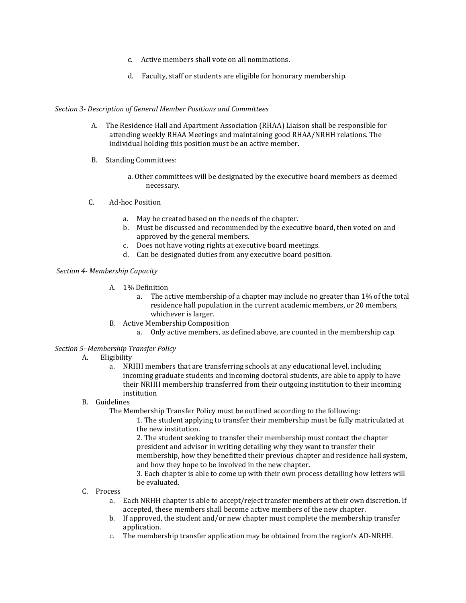- c. Active members shall vote on all nominations.
- d. Faculty, staff or students are eligible for honorary membership.

#### *Section 3- Description of General Member Positions and Committees*

- A. The Residence Hall and Apartment Association (RHAA) Liaison shall be responsible for attending weekly RHAA Meetings and maintaining good RHAA/NRHH relations. The individual holding this position must be an active member.
- B. Standing Committees:
	- a. Other committees will be designated by the executive board members as deemed necessary.
- C. Ad-hoc Position
	- a. May be created based on the needs of the chapter.
	- b. Must be discussed and recommended by the executive board, then voted on and approved by the general members.
	- c. Does not have voting rights at executive board meetings.
	- d. Can be designated duties from any executive board position.

#### *Section 4- Membership Capacity*

- A. 1% Definition
	- a. The active membership of a chapter may include no greater than 1% of the total residence hall population in the current academic members, or 20 members, whichever is larger.
- B. Active Membership Composition
	- a. Only active members, as defined above, are counted in the membership cap.

#### *Section 5- Membership Transfer Policy*

# A. Eligibility

a. NRHH members that are transferring schools at any educational level, including incoming graduate students and incoming doctoral students, are able to apply to have their NRHH membership transferred from their outgoing institution to their incoming institution

### B. Guidelines

The Membership Transfer Policy must be outlined according to the following:

1. The student applying to transfer their membership must be fully matriculated at the new institution.

2. The student seeking to transfer their membership must contact the chapter president and advisor in writing detailing why they want to transfer their membership, how they benefitted their previous chapter and residence hall system, and how they hope to be involved in the new chapter.

3. Each chapter is able to come up with their own process detailing how letters will be evaluated.

## C. Process

- a. Each NRHH chapter is able to accept/reject transfer members at their own discretion. If accepted, these members shall become active members of the new chapter.
- b. If approved, the student and/or new chapter must complete the membership transfer application.
- c. The membership transfer application may be obtained from the region's AD-NRHH.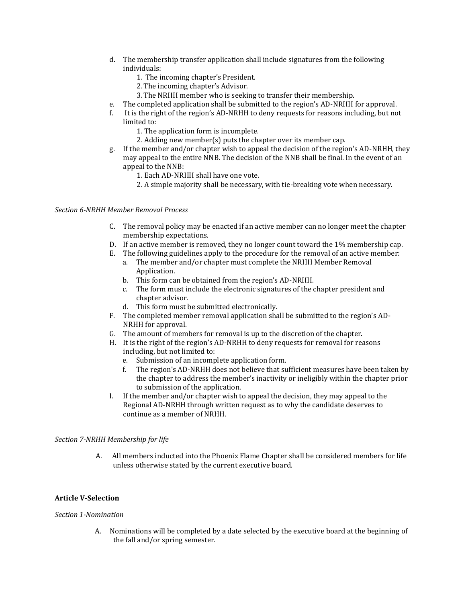- d. The membership transfer application shall include signatures from the following individuals:
	- 1. The incoming chapter's President.
	- 2.The incoming chapter's Advisor.
	- 3.The NRHH member who is seeking to transfer their membership.
- e. The completed application shall be submitted to the region's AD-NRHH for approval.
- f. It is the right of the region's AD-NRHH to deny requests for reasons including, but not limited to:
	- 1. The application form is incomplete.
	- 2. Adding new member(s) puts the chapter over its member cap.
- g. If the member and/or chapter wish to appeal the decision of the region's AD-NRHH, they may appeal to the entire NNB. The decision of the NNB shall be final. In the event of an appeal to the NNB:
	- 1. Each AD-NRHH shall have one vote.
	- 2. A simple majority shall be necessary, with tie-breaking vote when necessary.

#### *Section 6-NRHH Member Removal Process*

- C. The removal policy may be enacted if an active member can no longer meet the chapter membership expectations.
- D. If an active member is removed, they no longer count toward the 1% membership cap.
- E. The following guidelines apply to the procedure for the removal of an active member:
	- a. The member and/or chapter must complete the NRHH Member Removal Application.
	- b. This form can be obtained from the region's AD-NRHH.
	- c. The form must include the electronic signatures of the chapter president and chapter advisor.
	- d. This form must be submitted electronically.
- F. The completed member removal application shall be submitted to the region's AD-NRHH for approval.
- G. The amount of members for removal is up to the discretion of the chapter.
- H. It is the right of the region's AD-NRHH to deny requests for removal for reasons including, but not limited to:
	- e. Submission of an incomplete application form.
	- f. The region's AD-NRHH does not believe that sufficient measures have been taken by the chapter to address the member's inactivity or ineligibly within the chapter prior to submission of the application.
- I. If the member and/or chapter wish to appeal the decision, they may appeal to the Regional AD-NRHH through written request as to why the candidate deserves to continue as a member of NRHH.

#### *Section 7-NRHH Membership for life*

A. All members inducted into the Phoenix Flame Chapter shall be considered members for life unless otherwise stated by the current executive board.

#### **Article V-Selection**

#### *Section 1-Nomination*

A. Nominations will be completed by a date selected by the executive board at the beginning of the fall and/or spring semester.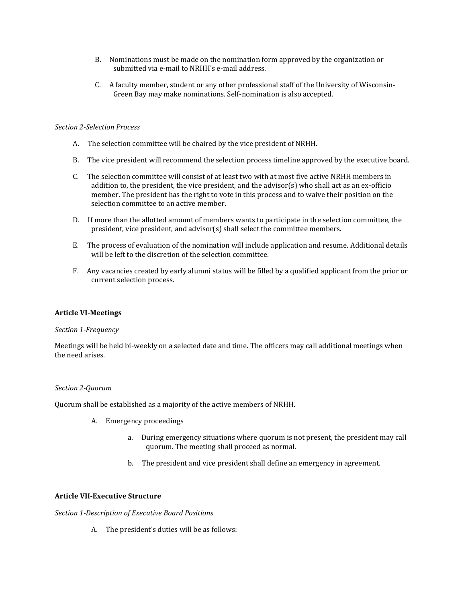- B. Nominations must be made on the nomination form approved by the organization or submitted via e-mail to NRHH's e-mail address.
- C. A faculty member, student or any other professional staff of the University of Wisconsin-Green Bay may make nominations. Self-nomination is also accepted.

#### *Section 2-Selection Process*

- A. The selection committee will be chaired by the vice president of NRHH.
- B. The vice president will recommend the selection process timeline approved by the executive board.
- C. The selection committee will consist of at least two with at most five active NRHH members in addition to, the president, the vice president, and the advisor(s) who shall act as an ex-officio member. The president has the right to vote in this process and to waive their position on the selection committee to an active member.
- D. If more than the allotted amount of members wants to participate in the selection committee, the president, vice president, and advisor(s) shall select the committee members.
- E. The process of evaluation of the nomination will include application and resume. Additional details will be left to the discretion of the selection committee.
- F. Any vacancies created by early alumni status will be filled by a qualified applicant from the prior or current selection process.

#### **Article VI-Meetings**

#### *Section 1-Frequency*

Meetings will be held bi-weekly on a selected date and time. The officers may call additional meetings when the need arises.

#### *Section 2-Quorum*

Quorum shall be established as a majority of the active members of NRHH.

- A. Emergency proceedings
	- a. During emergency situations where quorum is not present, the president may call quorum. The meeting shall proceed as normal.
	- b. The president and vice president shall define an emergency in agreement.

#### **Article VII-Executive Structure**

*Section 1-Description of Executive Board Positions*

A. The president's duties will be as follows: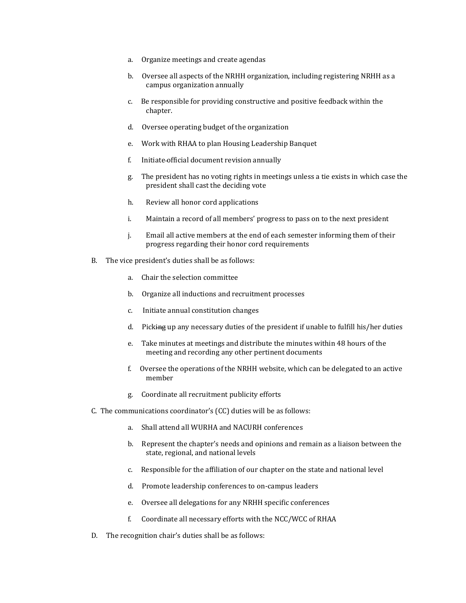- a. Organize meetings and create agendas
- b. Oversee all aspects of the NRHH organization, including registering NRHH as a campus organization annually
- c. Be responsible for providing constructive and positive feedback within the chapter.
- d. Oversee operating budget of the organization
- e. Work with RHAA to plan Housing Leadership Banquet
- f. Initiate official document revision annually
- g. The president has no voting rights in meetings unless a tie exists in which case the president shall cast the deciding vote
- h. Review all honor cord applications
- i. Maintain a record of all members' progress to pass on to the next president
- j. Email all active members at the end of each semester informing them of their progress regarding their honor cord requirements
- B. The vice president's duties shall be as follows:
	- a. Chair the selection committee
	- b. Organize all inductions and recruitment processes
	- c. Initiate annual constitution changes
	- d. Picking up any necessary duties of the president if unable to fulfill his/her duties
	- e. Take minutes at meetings and distribute the minutes within 48 hours of the meeting and recording any other pertinent documents
	- f. Oversee the operations of the NRHH website, which can be delegated to an active member
	- g. Coordinate all recruitment publicity efforts
- C. The communications coordinator's (CC) duties will be as follows:
	- a. Shall attend all WURHA and NACURH conferences
	- b. Represent the chapter's needs and opinions and remain as a liaison between the state, regional, and national levels
	- c. Responsible for the affiliation of our chapter on the state and national level
	- d. Promote leadership conferences to on-campus leaders
	- e. Oversee all delegations for any NRHH specific conferences
	- f. Coordinate all necessary efforts with the NCC/WCC of RHAA
- D. The recognition chair's duties shall be as follows: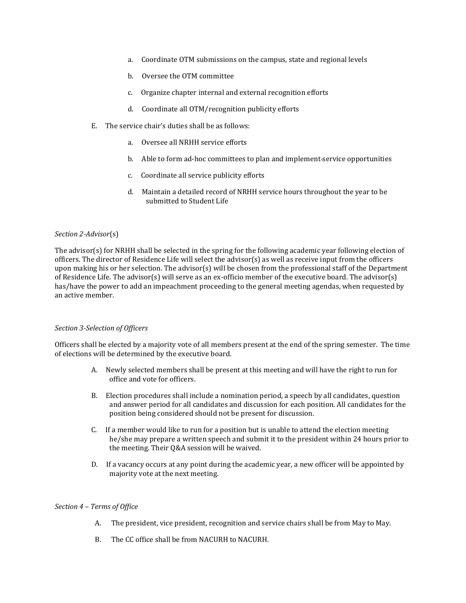- a. Coordinate OTM submissions on the campus, state and regional levels
- b. Oversee the OTM committee
- c. Organize chapter internal and external recognition efforts
- d. Coordinate all OTM/recognition publicity efforts
- E. The service chair's duties shall be as follows:
	- a. Oversee all NRHH service efforts
	- b. Able to form ad-hoc committees to plan and implement service opportunities
	- c. Coordinate all service publicity efforts
	- d. Maintain a detailed record of NRHH service hours throughout the year to be submitted to Student Life

#### *Section 2-Advisor*(s)

The advisor(s) for NRHH shall be selected in the spring for the following academic year following election of officers. The director of Residence Life will select the advisor(s) as well as receive input from the officers upon making his or her selection. The advisor(s) will be chosen from the professional staff of the Department of Residence Life. The advisor(s) will serve as an ex-officio member of the executive board. The advisor(s) has/have the power to add an impeachment proceeding to the general meeting agendas, when requested by an active member.

#### *Section 3-Selection of Officers*

Officers shall be elected by a majority vote of all members present at the end of the spring semester. The time of elections will be determined by the executive board.

- A. Newly selected members shall be present at this meeting and will have the right to run for office and vote for officers.
- B. Election procedures shall include a nomination period, a speech by all candidates, question and answer period for all candidates and discussion for each position. All candidates for the position being considered should not be present for discussion.
- C. If a member would like to run for a position but is unable to attend the election meeting he/she may prepare a written speech and submit it to the president within 24 hours prior to the meeting. Their Q&A session will be waived.
- D. If a vacancy occurs at any point during the academic year, a new officer will be appointed by majority vote at the next meeting.

#### *Section 4 – Terms of Office*

- A. The president, vice president, recognition and service chairs shall be from May to May.
- B. The CC office shall be from NACURH to NACURH.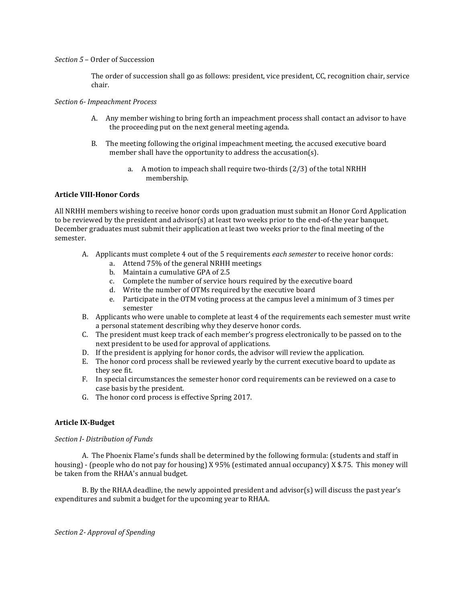#### *Section 5* – Order of Succession

The order of succession shall go as follows: president, vice president, CC, recognition chair, service chair.

#### *Section 6- Impeachment Process*

- A. Any member wishing to bring forth an impeachment process shall contact an advisor to have the proceeding put on the next general meeting agenda.
- B. The meeting following the original impeachment meeting, the accused executive board member shall have the opportunity to address the accusation(s).
	- a. A motion to impeach shall require two-thirds (2/3) of the total NRHH membership.

#### **Article VIII-Honor Cords**

All NRHH members wishing to receive honor cords upon graduation must submit an Honor Cord Application to be reviewed by the president and advisor(s) at least two weeks prior to the end-of-the year banquet. December graduates must submit their application at least two weeks prior to the final meeting of the semester.

- A. Applicants must complete 4 out of the 5 requirements *each semester* to receive honor cords:
	- a. Attend 75% of the general NRHH meetings
	- b. Maintain a cumulative GPA of 2.5
	- c. Complete the number of service hours required by the executive board
	- d. Write the number of OTMs required by the executive board
	- e. Participate in the OTM voting process at the campus level a minimum of 3 times per semester
- B. Applicants who were unable to complete at least 4 of the requirements each semester must write a personal statement describing why they deserve honor cords.
- C. The president must keep track of each member's progress electronically to be passed on to the next president to be used for approval of applications.
- D. If the president is applying for honor cords, the advisor will review the application.
- E. The honor cord process shall be reviewed yearly by the current executive board to update as they see fit.
- F. In special circumstances the semester honor cord requirements can be reviewed on a case to case basis by the president.
- G. The honor cord process is effective Spring 2017.

#### **Article IX-Budget**

#### *Section I- Distribution of Funds*

A. The Phoenix Flame's funds shall be determined by the following formula: (students and staff in housing) - (people who do not pay for housing) X 95% (estimated annual occupancy) X \$.75. This money will be taken from the RHAA's annual budget.

B. By the RHAA deadline, the newly appointed president and advisor(s) will discuss the past year's expenditures and submit a budget for the upcoming year to RHAA.

*Section 2- Approval of Spending*